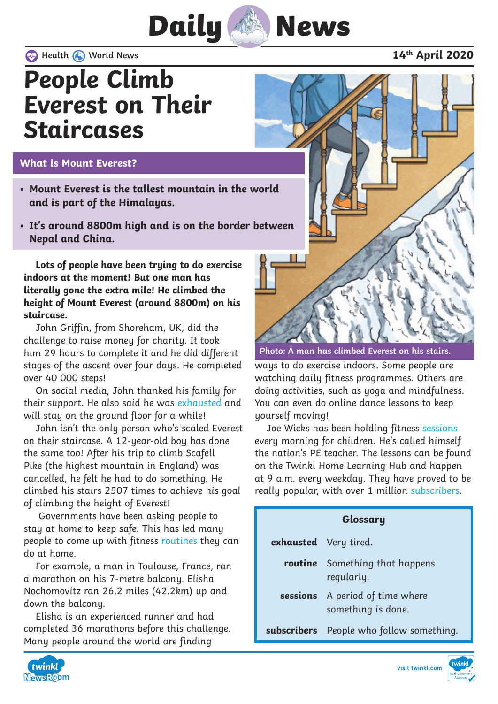

 **Health World News 14th April 2020**

### **People Climb Everest on Their Staircases**

### **What is Mount Everest?**

- **• Mount Everest is the tallest mountain in the world and is part of the Himalayas.**
- **• It's around 8800m high and is on the border between Nepal and China.**

**Lots of people have been trying to do exercise indoors at the moment! But one man has literally gone the extra mile! He climbed the height of Mount Everest (around 8800m) on his staircase.**

John Griffin, from Shoreham, UK, did the challenge to raise money for charity. It took him 29 hours to complete it and he did different stages of the ascent over four days. He completed over 40 000 steps!

On social media, John thanked his family for their support. He also said he was exhausted and will stay on the ground floor for a while!

John isn't the only person who's scaled Everest on their staircase. A 12-year-old boy has done the same too! After his trip to climb Scafell Pike (the highest mountain in England) was cancelled, he felt he had to do something. He climbed his stairs 2507 times to achieve his goal of climbing the height of Everest!

 Governments have been asking people to stay at home to keep safe. This has led many people to come up with fitness routines they can do at home.

For example, a man in Toulouse, France, ran a marathon on his 7-metre balcony. Elisha Nochomovitz ran 26.2 miles (42.2km) up and down the balcony.

Elisha is an experienced runner and had completed 36 marathons before this challenge. Many people around the world are finding



**Photo: A man has climbed Everest on his stairs.**

ways to do exercise indoors. Some people are watching daily fitness programmes. Others are doing activities, such as yoga and mindfulness. You can even do online dance lessons to keep yourself moving!

Joe Wicks has been holding fitness sessions every morning for children. He's called himself the nation's PE teacher. The lessons can be found on the Twinkl Home Learning Hub and happen at 9 a.m. every weekday. They have proved to be really popular, with over 1 million subscribers.

| Glossary              |                                                       |
|-----------------------|-------------------------------------------------------|
| exhausted Very tired. |                                                       |
|                       | <b>routine</b> Something that happens<br>regularly.   |
|                       | sessions A period of time where<br>something is done. |
|                       | subscribers People who follow something.              |



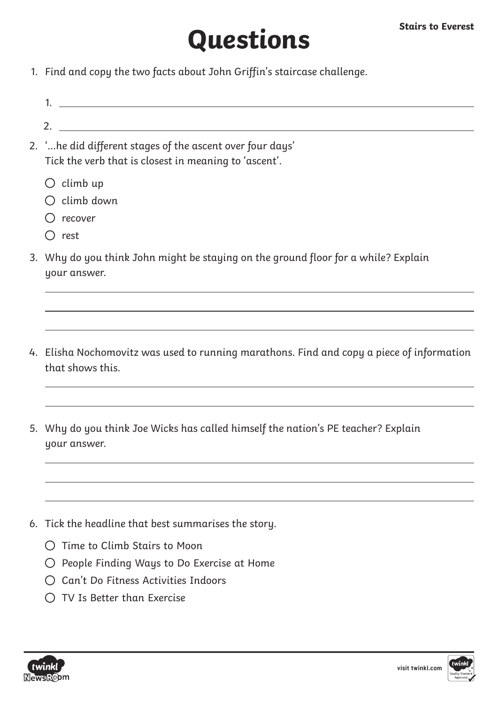# **Questions**

- 1. Find and copy the two facts about John Griffin's staircase challenge.
- 1.
- 2.
- 2. '...he did different stages of the ascent over four days' Tick the verb that is closest in meaning to 'ascent'.
	- $\bigcirc$  climb up
	- $O$  climb down
	- $\bigcap$  recover
	- $\bigcap$  rest
- 3. Why do you think John might be staying on the ground floor for a while? Explain your answer.
- 4. Elisha Nochomovitz was used to running marathons. Find and copy a piece of information that shows this.
- 5. Why do you think Joe Wicks has called himself the nation's PE teacher? Explain uour answer.
- 6. Tick the headline that best summarises the story.
	- $\bigcap$  Time to Climb Stairs to Moon
	- $\bigcirc$  People Finding Ways to Do Exercise at Home
	- Can't Do Fitness Activities Indoors
	- $\bigcap$  TV Is Better than Exercise